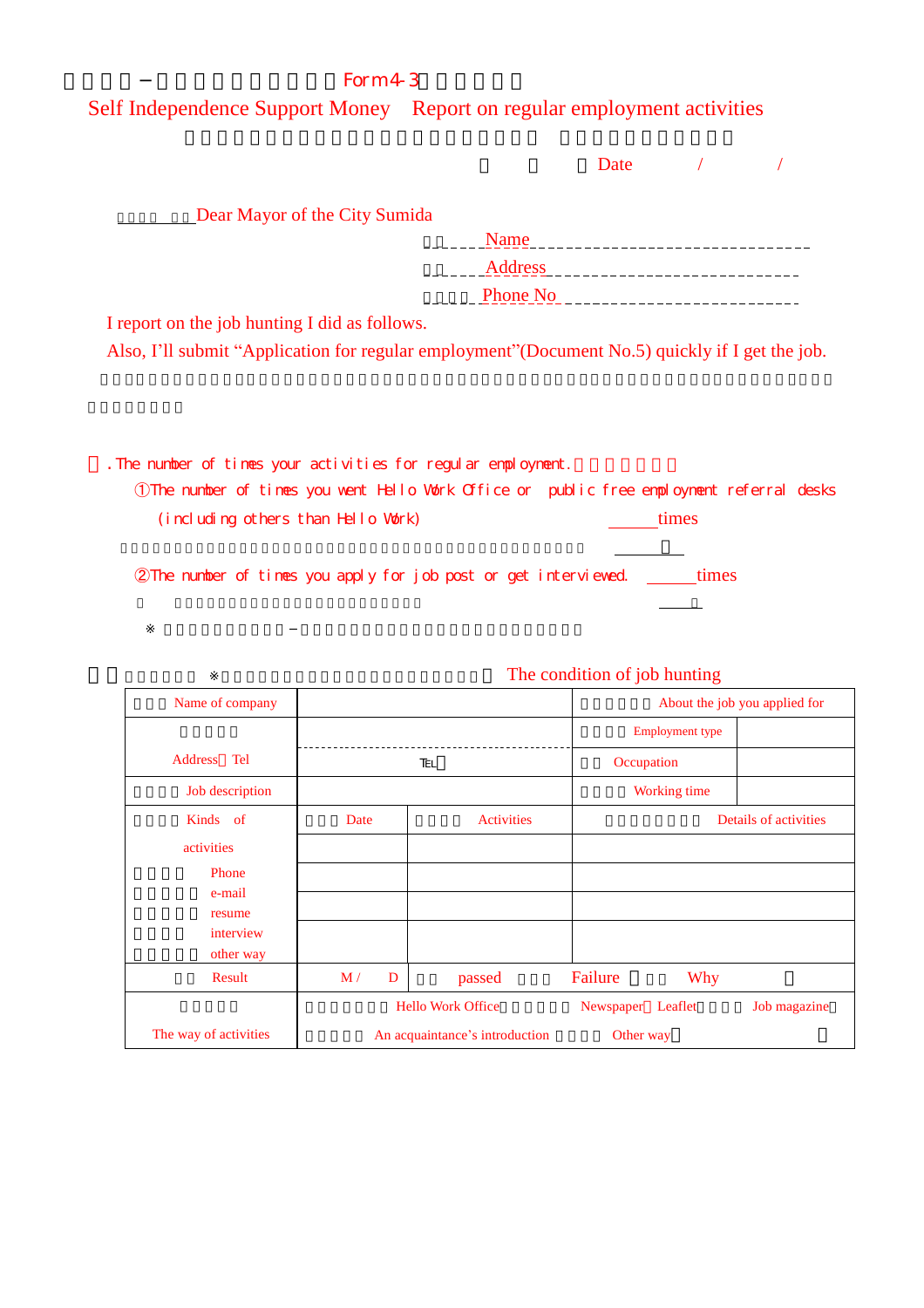## $Form 4-3$

Self Independence Support Money Report on regular employment activities

|                                                                                                  |                 | Date                      |  |
|--------------------------------------------------------------------------------------------------|-----------------|---------------------------|--|
| Dear Mayor of the City Sumida                                                                    |                 |                           |  |
|                                                                                                  | Name            | _________________________ |  |
|                                                                                                  | Address         | ______________            |  |
|                                                                                                  | <b>Phone No</b> |                           |  |
| I report on the job hunting I did as follows.                                                    |                 |                           |  |
| Also, I'll submit "Application for regular employment" (Document No.5) quickly if I get the job. |                 |                           |  |
|                                                                                                  |                 |                           |  |
|                                                                                                  |                 |                           |  |
|                                                                                                  |                 |                           |  |

. The number of times your activities for regular employment.

➀The number of times you went Hello Work Office or public free employment referral desks (including others than Hello Work) times

©The number of times you apply for job post or get interviewed \_\_\_\_\_\_\_ times

| Name of company        |                          |                                | About the job you applied for |                       |
|------------------------|--------------------------|--------------------------------|-------------------------------|-----------------------|
|                        |                          |                                | <b>Employment type</b>        |                       |
| Tel<br>Address         |                          |                                | Occupation                    |                       |
| Job description        |                          |                                | Working time                  |                       |
| Kinds of               | Date                     | <b>Activities</b>              |                               | Details of activities |
| activities             |                          |                                |                               |                       |
| Phone                  |                          |                                |                               |                       |
| e-mail<br>resume       |                          |                                |                               |                       |
| interview<br>other way |                          |                                |                               |                       |
| Result                 | M/<br>D                  | passed                         | Failure<br><b>Why</b>         |                       |
|                        | <b>Hello Work Office</b> |                                | Newspaper<br>Leaflet          | Job magazine          |
| The way of activities  |                          | An acquaintance's introduction | Other way                     |                       |

## The condition of job hunting